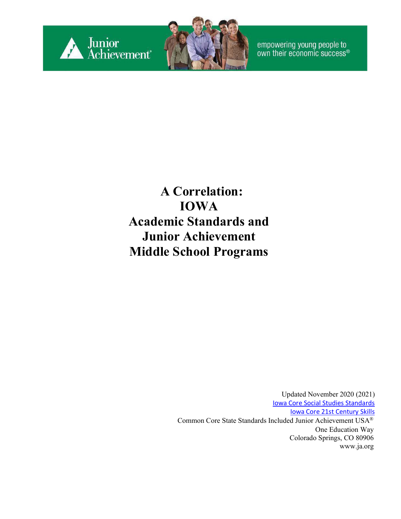

empowering young people to<br>own their economic success®

#### **A Correlation: IOWA Academic Standards and Junior Achievement Middle School Programs**

Updated November 2020 (2021) [Iowa Core Social Studies Standards](https://educateiowa.gov/pk-12/instruction/social-studies#Iowa_Social_Studies_Standards) Iowa Core [21st Century Skills](https://www.educateiowa.gov/sites/files/ed/documents/K-12_21stCentSkills_0.pdf) Common Core State Standards Included Junior Achievement USA® One Education Way Colorado Springs, CO 80906 [www.ja.org](http://www.ja.org/)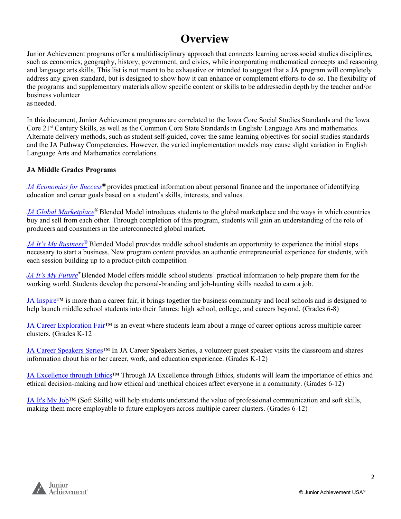#### **Overview**

Junior Achievement programs offer a multidisciplinary approach that connects learning acrosssocial studies disciplines, such as economics, geography, history, government, and civics, while incorporating mathematical concepts and reasoning and language artsskills. This list is not meant to be exhaustive or intended to suggest that a JA program will completely address any given standard, but is designed to show how it can enhance or complement efforts to do so.The flexibility of the programs and supplementary materials allow specific content or skills to be addressedin depth by the teacher and/or business volunteer as needed.

In this document, Junior Achievement programs are correlated to the Iowa Core Social Studies Standards and the Iowa Core 21st Century Skills, as well as the Common Core State Standards in English/ Language Arts and mathematics. Alternate delivery methods, such as student self-guided, cover the same learning objectives for social studies standards and the JA Pathway Competencies. However, the varied implementation models may cause slight variation in English Language Arts and Mathematics correlations.

#### **JA Middle Grades Programs**

*[JA Economics for Success](#page-2-0)®* provides practical information about personal finance and the importance of identifying education and career goals based on a student's skills, interests, and values.

*[JA Global Marketplace](#page-5-0)®* Blended Model introduces students to the global marketplace and the ways in which countries buy and sell from each other. Through completion of this program, students will gain an understanding of the role of producers and consumers in the interconnected global market.

*[JA It's My Business](#page-9-0)[®](#page-9-0)* Blended Model provides middle school students an opportunity to experience the initial steps necessary to start a business. New program content provides an authentic entrepreneurial experience for students, with each session building up to a product-pitch competition

*[JA It's My Future](#page-12-0)®* Blended Model offers middle school students' practical information to help prepare them for the working world. Students develop the personal-branding and job-hunting skills needed to earn a job.

[JA Inspire™](#page-18-0) is more than a career fair, it brings together the business community and local schools and is designed to help launch middle school students into their futures: high school, college, and careers beyond. (Grades 6-8)

[JA Career Exploration Fair™](#page-15-0) is an event where students learn about a range of career options across multiple career clusters. (Grades K-12

[JA Career Speakers Series™](#page-16-0) In JA Career Speakers Series, a volunteer guest speaker visits the classroom and shares information about his or her career, work, and education experience. (Grades K-12)

JA Excellence through Ethics™ Through JA Excellence through Ethics, students will learn the importance of ethics and ethical decision-making and how ethical and unethical choices affect everyone in a community. (Grades 6-12)

[JA It's My Job™](#page-20-0) (Soft Skills) will help students understand the value of professional communication and soft skills, making them more employable to future employers across multiple career clusters. (Grades 6-12)

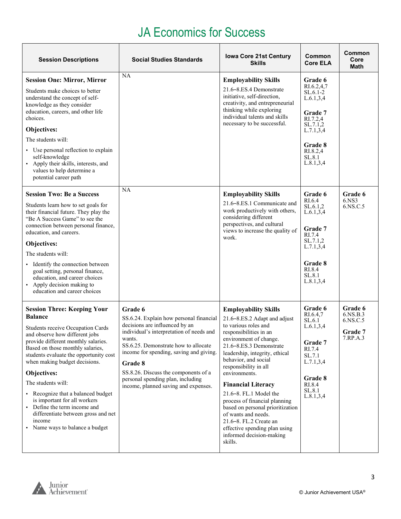#### JA Economics for Success

<span id="page-2-0"></span>

| <b>Session Descriptions</b>                                                                                                                                                                                                                                                                                                                                                                                                                                                                                       | <b>Social Studies Standards</b>                                                                                                                                                                                                                                                                                                                               | <b>Iowa Core 21st Century</b><br><b>Skills</b>                                                                                                                                                                                                                                                                                                                                                                                                                                                                              | Common<br><b>Core ELA</b>                                                                                                                            | Common<br>Core<br>Math                                 |
|-------------------------------------------------------------------------------------------------------------------------------------------------------------------------------------------------------------------------------------------------------------------------------------------------------------------------------------------------------------------------------------------------------------------------------------------------------------------------------------------------------------------|---------------------------------------------------------------------------------------------------------------------------------------------------------------------------------------------------------------------------------------------------------------------------------------------------------------------------------------------------------------|-----------------------------------------------------------------------------------------------------------------------------------------------------------------------------------------------------------------------------------------------------------------------------------------------------------------------------------------------------------------------------------------------------------------------------------------------------------------------------------------------------------------------------|------------------------------------------------------------------------------------------------------------------------------------------------------|--------------------------------------------------------|
| <b>Session One: Mirror, Mirror</b><br>Students make choices to better<br>understand the concept of self-<br>knowledge as they consider<br>education, careers, and other life<br>choices.<br>Objectives:<br>The students will:<br>• Use personal reflection to explain<br>self-knowledge<br>Apply their skills, interests, and<br>$\blacksquare$<br>values to help determine a<br>potential career path                                                                                                            | NA                                                                                                                                                                                                                                                                                                                                                            | <b>Employability Skills</b><br>21.6–8.ES.4 Demonstrate<br>initiative, self-direction,<br>creativity, and entrepreneurial<br>thinking while exploring<br>individual talents and skills<br>necessary to be successful.                                                                                                                                                                                                                                                                                                        | Grade 6<br>RI.6.2,4,7<br>$SL.6.1-2$<br>L.6.1, 3, 4<br>Grade 7<br>RI.7.2,4<br>SL.7.1,2<br>L.7.1, 3, 4<br>Grade 8<br>RI.8.2,4<br>SL.8.1<br>L.8.1, 3, 4 |                                                        |
| <b>Session Two: Be a Success</b><br>Students learn how to set goals for<br>their financial future. They play the<br>"Be A Success Game" to see the<br>connection between personal finance,<br>education, and careers.<br>Objectives:<br>The students will:<br>Identify the connection between<br>٠.<br>goal setting, personal finance,<br>education, and career choices<br>• Apply decision making to<br>education and career choices                                                                             | NA                                                                                                                                                                                                                                                                                                                                                            | <b>Employability Skills</b><br>21.6-8.ES.1 Communicate and<br>work productively with others,<br>considering different<br>perspectives, and cultural<br>views to increase the quality of<br>work.                                                                                                                                                                                                                                                                                                                            | Grade 6<br>RI.6.4<br>SL.6.1,2<br>L.6.1, 3, 4<br>Grade 7<br>RI.7.4<br>SL.7.1,2<br>L.7.1, 3, 4<br>Grade 8<br>RI.8.4<br>SL.8.1<br>L.8.1, 3, 4           | Grade 6<br>6.NS3<br>6.NS.C.5                           |
| <b>Session Three: Keeping Your</b><br><b>Balance</b><br>Students receive Occupation Cards<br>and observe how different jobs<br>provide different monthly salaries.<br>Based on those monthly salaries,<br>students evaluate the opportunity cost<br>when making budget decisions.<br>Objectives:<br>The students will:<br>• Recognize that a balanced budget<br>is important for all workers<br>Define the term income and<br>differentiate between gross and net<br>income<br>Name ways to balance a budget<br>٠ | Grade 6<br>SS.6.24. Explain how personal financial<br>decisions are influenced by an<br>individual's interpretation of needs and<br>wants.<br>SS.6.25. Demonstrate how to allocate<br>income for spending, saving and giving.<br>Grade 8<br>SS.8.26. Discuss the components of a<br>personal spending plan, including<br>income, planned saving and expenses. | <b>Employability Skills</b><br>21.6–8.ES.2 Adapt and adjust<br>to various roles and<br>responsibilities in an<br>environment of change.<br>21.6–8.ES.3 Demonstrate<br>leadership, integrity, ethical<br>behavior, and social<br>responsibility in all<br>environments.<br><b>Financial Literacy</b><br>21.6-8. FL.1 Model the<br>process of financial planning<br>based on personal prioritization<br>of wants and needs.<br>21.6-8. FL.2 Create an<br>effective spending plan using<br>informed decision-making<br>skills. | Grade 6<br>RI.6.4,7<br>SL.6.1<br>L.6.1, 3, 4<br>Grade 7<br>RI.7.4<br>SL.7.1<br>L.7.1, 3, 4<br>Grade 8<br>RI.8.4<br>SL.8.1<br>L.8.1, 3, 4             | Grade 6<br>6.NS.B.3<br>6.NS.C.5<br>Grade 7<br>7.RP.A.3 |

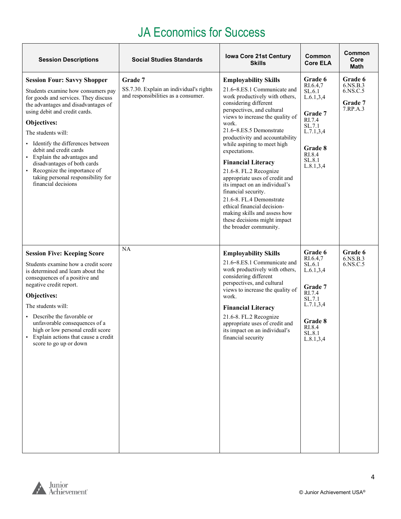#### JA Economics for Success

| <b>Session Descriptions</b>                                                                                                                                                                                                                                                                                                                                                                                                                                                                | <b>Social Studies Standards</b>                                                           | <b>Iowa Core 21st Century</b><br><b>Skills</b>                                                                                                                                                                                                                                                                                                                                                                                                                                                                                                                                                                       | Common<br><b>Core ELA</b>                                                                                                                | Common<br>Core<br>Math                                 |
|--------------------------------------------------------------------------------------------------------------------------------------------------------------------------------------------------------------------------------------------------------------------------------------------------------------------------------------------------------------------------------------------------------------------------------------------------------------------------------------------|-------------------------------------------------------------------------------------------|----------------------------------------------------------------------------------------------------------------------------------------------------------------------------------------------------------------------------------------------------------------------------------------------------------------------------------------------------------------------------------------------------------------------------------------------------------------------------------------------------------------------------------------------------------------------------------------------------------------------|------------------------------------------------------------------------------------------------------------------------------------------|--------------------------------------------------------|
| <b>Session Four: Savvy Shopper</b><br>Students examine how consumers pay<br>for goods and services. They discuss<br>the advantages and disadvantages of<br>using debit and credit cards.<br>Objectives:<br>The students will:<br>Identify the differences between<br>$\blacksquare$<br>debit and credit cards<br>• Explain the advantages and<br>disadvantages of both cards<br>Recognize the importance of<br>$\blacksquare$<br>taking personal responsibility for<br>financial decisions | Grade 7<br>SS.7.30. Explain an individual's rights<br>and responsibilities as a consumer. | <b>Employability Skills</b><br>21.6–8.ES.1 Communicate and<br>work productively with others,<br>considering different<br>perspectives, and cultural<br>views to increase the quality of<br>work.<br>21.6–8.ES.5 Demonstrate<br>productivity and accountability<br>while aspiring to meet high<br>expectations.<br><b>Financial Literacy</b><br>21.6-8. FL.2 Recognize<br>appropriate uses of credit and<br>its impact on an individual's<br>financial security.<br>21.6-8. FL.4 Demonstrate<br>ethical financial decision-<br>making skills and assess how<br>these decisions might impact<br>the broader community. | Grade 6<br>RI.6.4,7<br>SL.6.1<br>L.6.1, 3, 4<br>Grade 7<br>RI.7.4<br>SL.7.1<br>L.7.1, 3, 4<br>Grade 8<br>RI.8.4<br>SL.8.1<br>L.8.1, 3, 4 | Grade 6<br>6.NS.B.3<br>6.NS.C.5<br>Grade 7<br>7.RP.A.3 |
| <b>Session Five: Keeping Score</b><br>Students examine how a credit score<br>is determined and learn about the<br>consequences of a positive and<br>negative credit report.<br>Objectives:<br>The students will:<br>Describe the favorable or<br>unfavorable consequences of a<br>high or low personal credit score<br>Explain actions that cause a credit<br>score to go up or down                                                                                                       | NA                                                                                        | <b>Employability Skills</b><br>21.6–8.ES.1 Communicate and<br>work productively with others,<br>considering different<br>perspectives, and cultural<br>views to increase the quality of<br>work.<br><b>Financial Literacy</b><br>21.6-8. FL.2 Recognize<br>appropriate uses of credit and<br>its impact on an individual's<br>financial security                                                                                                                                                                                                                                                                     | Grade 6<br>RI.6.4,7<br>SL.6.1<br>L.6.1, 3, 4<br>Grade 7<br>RI.7.4<br>SL.7.1<br>L.7.1, 3, 4<br>Grade 8<br>RI.8.4<br>SL.8.1<br>L.8.1, 3, 4 | Grade 6<br>6.NS.B.3<br>6.NS.C.5                        |

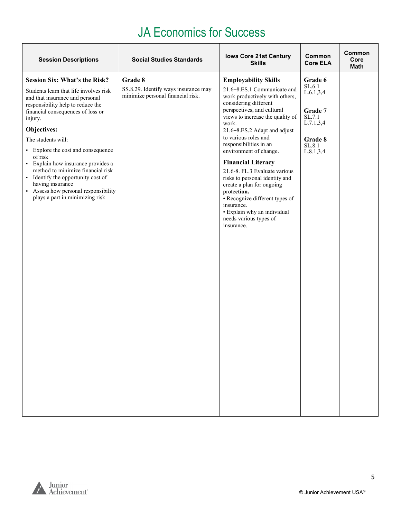#### JA Economics for Success

| <b>Session Descriptions</b>                                                                                                                                                                                                                                                                                                                                                                                                                                                                                  | <b>Social Studies Standards</b>                                                      | <b>Iowa Core 21st Century</b><br><b>Skills</b>                                                                                                                                                                                                                                                                                                                                                                                                                                                                                                                                  | Common<br><b>Core ELA</b>                                                                                | Common<br>Core<br><b>Math</b> |
|--------------------------------------------------------------------------------------------------------------------------------------------------------------------------------------------------------------------------------------------------------------------------------------------------------------------------------------------------------------------------------------------------------------------------------------------------------------------------------------------------------------|--------------------------------------------------------------------------------------|---------------------------------------------------------------------------------------------------------------------------------------------------------------------------------------------------------------------------------------------------------------------------------------------------------------------------------------------------------------------------------------------------------------------------------------------------------------------------------------------------------------------------------------------------------------------------------|----------------------------------------------------------------------------------------------------------|-------------------------------|
| <b>Session Six: What's the Risk?</b><br>Students learn that life involves risk<br>and that insurance and personal<br>responsibility help to reduce the<br>financial consequences of loss or<br>injury.<br>Objectives:<br>The students will:<br>• Explore the cost and consequence<br>of risk<br>· Explain how insurance provides a<br>method to minimize financial risk<br>• Identify the opportunity cost of<br>having insurance<br>• Assess how personal responsibility<br>plays a part in minimizing risk | Grade 8<br>SS.8.29. Identify ways insurance may<br>minimize personal financial risk. | <b>Employability Skills</b><br>21.6-8.ES.1 Communicate and<br>work productively with others,<br>considering different<br>perspectives, and cultural<br>views to increase the quality of<br>work.<br>21.6-8.ES.2 Adapt and adjust<br>to various roles and<br>responsibilities in an<br>environment of change.<br><b>Financial Literacy</b><br>21.6-8. FL.3 Evaluate various<br>risks to personal identity and<br>create a plan for ongoing<br>protection.<br>• Recognize different types of<br>insurance.<br>· Explain why an individual<br>needs various types of<br>insurance. | Grade 6<br>SL.6.1<br>L.6.1, 3, 4<br>Grade 7<br>SL.7.1<br>L.7.1, 3, 4<br>Grade 8<br>SL.8.1<br>L.8.1, 3, 4 |                               |
|                                                                                                                                                                                                                                                                                                                                                                                                                                                                                                              |                                                                                      |                                                                                                                                                                                                                                                                                                                                                                                                                                                                                                                                                                                 |                                                                                                          |                               |

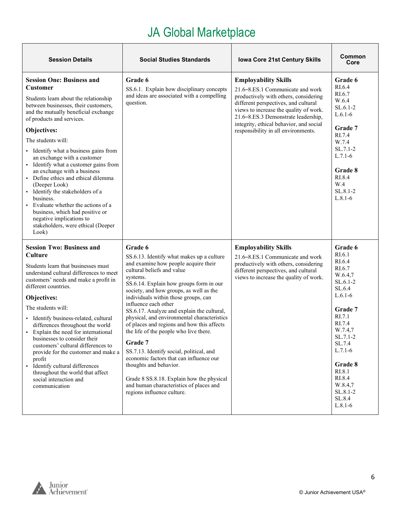$\top$ 

<span id="page-5-0"></span>

| <b>Session Details</b>                                                                                                                                                                                                                                                                                                                                                                                                                                                                                                                                                                                                                                       | <b>Social Studies Standards</b>                                                                                                                                                                                                                                                                                                                                                                                                                                                                                                                                                                                                                                                                                                     | Iowa Core 21st Century Skills                                                                                                                                                                                                                                                                                       | Common<br>Core                                                                                                                                                                                                                                  |
|--------------------------------------------------------------------------------------------------------------------------------------------------------------------------------------------------------------------------------------------------------------------------------------------------------------------------------------------------------------------------------------------------------------------------------------------------------------------------------------------------------------------------------------------------------------------------------------------------------------------------------------------------------------|-------------------------------------------------------------------------------------------------------------------------------------------------------------------------------------------------------------------------------------------------------------------------------------------------------------------------------------------------------------------------------------------------------------------------------------------------------------------------------------------------------------------------------------------------------------------------------------------------------------------------------------------------------------------------------------------------------------------------------------|---------------------------------------------------------------------------------------------------------------------------------------------------------------------------------------------------------------------------------------------------------------------------------------------------------------------|-------------------------------------------------------------------------------------------------------------------------------------------------------------------------------------------------------------------------------------------------|
| <b>Session One: Business and</b><br><b>Customer</b><br>Students learn about the relationship<br>between businesses, their customers,<br>and the mutually beneficial exchange<br>of products and services.<br>Objectives:<br>The students will:<br>• Identify what a business gains from<br>an exchange with a customer<br>· Identify what a customer gains from<br>an exchange with a business<br>• Define ethics and ethical dilemma<br>(Deeper Look)<br>· Identify the stakeholders of a<br>business.<br>• Evaluate whether the actions of a<br>business, which had positive or<br>negative implications to<br>stakeholders, were ethical (Deeper<br>Look) | Grade 6<br>SS.6.1. Explain how disciplinary concepts<br>and ideas are associated with a compelling<br>question.                                                                                                                                                                                                                                                                                                                                                                                                                                                                                                                                                                                                                     | <b>Employability Skills</b><br>21.6–8.ES.1 Communicate and work<br>productively with others, considering<br>different perspectives, and cultural<br>views to increase the quality of work.<br>21.6-8.ES.3 Demonstrate leadership,<br>integrity, ethical behavior, and social<br>responsibility in all environments. | Grade 6<br>RI.6.4<br>RI.6.7<br>W.6.4<br>$SL.6.1-2$<br>$L.6.1-6$<br>Grade 7<br>RI.7.4<br>W.7.4<br>SL.7.1-2<br>$L.7.1-6$<br>Grade 8<br>RI.8.4<br>W.4<br>SL.8.1-2<br>$L.8.1-6$                                                                     |
| <b>Session Two: Business and</b><br>Culture<br>Students learn that businesses must<br>understand cultural differences to meet<br>customers' needs and make a profit in<br>different countries.<br>Objectives:<br>The students will:<br>· Identify business-related, cultural<br>differences throughout the world<br>• Explain the need for international<br>businesses to consider their<br>customers' cultural differences to<br>provide for the customer and make a<br>profit<br>· Identify cultural differences<br>throughout the world that affect<br>social interaction and<br>communication                                                            | Grade 6<br>SS.6.13. Identify what makes up a culture<br>and examine how people acquire their<br>cultural beliefs and value<br>systems.<br>SS.6.14. Explain how groups form in our<br>society, and how groups, as well as the<br>individuals within those groups, can<br>influence each other<br>SS.6.17. Analyze and explain the cultural,<br>physical, and environmental characteristics<br>of places and regions and how this affects<br>the life of the people who live there.<br>Grade 7<br>SS.7.13. Identify social, political, and<br>economic factors that can influence our<br>thoughts and behavior.<br>Grade 8 SS.8.18. Explain how the physical<br>and human characteristics of places and<br>regions influence culture. | <b>Employability Skills</b><br>21.6-8.ES.1 Communicate and work<br>productively with others, considering<br>different perspectives, and cultural<br>views to increase the quality of work.                                                                                                                          | Grade 6<br>RI.6.1<br>RI.6.4<br>RI.6.7<br>W.6.4,7<br>$SL.6.1-2$<br>SL.6.4<br>$L.6.1-6$<br>Grade 7<br>RI.7.1<br>RI.7.4<br>W.7.4,7<br>SL.7.1-2<br>SL.7.4<br>$L.7.1-6$<br>Grade 8<br>RI.8.1<br>RI.8.4<br>W.8.4,7<br>SL.8.1-2<br>SL.8.4<br>$L.8.1-6$ |

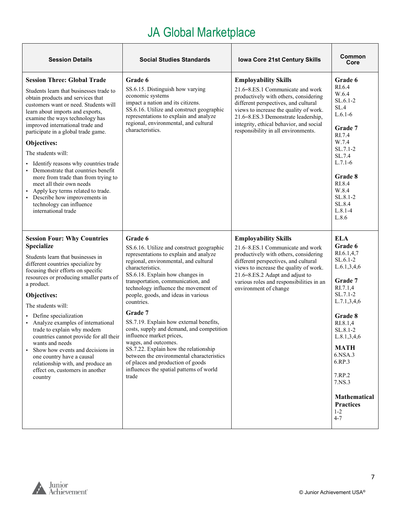| <b>Session Details</b>                                                                                                                                                                                                                                                                                                                                                                                                                                                                                                                                                                                                        | <b>Social Studies Standards</b>                                                                                                                                                                                                                                                                                                                                                                                                                                                                                                                                                                                                                                          | Iowa Core 21st Century Skills                                                                                                                                                                                                                                                                                       | Common<br>Core                                                                                                                                                                                                                                                                                       |
|-------------------------------------------------------------------------------------------------------------------------------------------------------------------------------------------------------------------------------------------------------------------------------------------------------------------------------------------------------------------------------------------------------------------------------------------------------------------------------------------------------------------------------------------------------------------------------------------------------------------------------|--------------------------------------------------------------------------------------------------------------------------------------------------------------------------------------------------------------------------------------------------------------------------------------------------------------------------------------------------------------------------------------------------------------------------------------------------------------------------------------------------------------------------------------------------------------------------------------------------------------------------------------------------------------------------|---------------------------------------------------------------------------------------------------------------------------------------------------------------------------------------------------------------------------------------------------------------------------------------------------------------------|------------------------------------------------------------------------------------------------------------------------------------------------------------------------------------------------------------------------------------------------------------------------------------------------------|
| <b>Session Three: Global Trade</b><br>Students learn that businesses trade to<br>obtain products and services that<br>customers want or need. Students will<br>learn about imports and exports,<br>examine the ways technology has<br>improved international trade and<br>participate in a global trade game.<br>Objectives:<br>The students will:<br>Identify reasons why countries trade<br>Demonstrate that countries benefit<br>more from trade than from trying to<br>meet all their own needs<br>Apply key terms related to trade.<br>• Describe how improvements in<br>technology can influence<br>international trade | Grade 6<br>SS.6.15. Distinguish how varying<br>economic systems<br>impact a nation and its citizens.<br>SS.6.16. Utilize and construct geographic<br>representations to explain and analyze<br>regional, environmental, and cultural<br>characteristics.                                                                                                                                                                                                                                                                                                                                                                                                                 | <b>Employability Skills</b><br>21.6–8.ES.1 Communicate and work<br>productively with others, considering<br>different perspectives, and cultural<br>views to increase the quality of work.<br>21.6-8.ES.3 Demonstrate leadership,<br>integrity, ethical behavior, and social<br>responsibility in all environments. | Grade 6<br>RI.6.4<br>W.6.4<br>$SL.6.1-2$<br>SL.4<br>$L.6.1-6$<br>Grade 7<br>RI.7.4<br>W.7.4<br>$SL.7.1-2$<br>SL.7.4<br>$L.7.1-6$<br>Grade 8<br>RI.8.4<br>W.8.4<br>SL.8.1-2<br>SL.8.4<br>$L.8.1 - 4$<br>L.8.6                                                                                         |
| <b>Session Four: Why Countries</b><br><b>Specialize</b><br>Students learn that businesses in<br>different countries specialize by<br>focusing their efforts on specific<br>resources or producing smaller parts of<br>a product.<br>Objectives:<br>The students will:<br>Define specialization<br>Analyze examples of international<br>trade to explain why modern<br>countries cannot provide for all their<br>wants and needs<br>Show how events and decisions in<br>$\blacksquare$<br>one country have a causal<br>relationship with, and produce an<br>effect on, customers in another<br>country                         | Grade 6<br>SS.6.16. Utilize and construct geographic<br>representations to explain and analyze<br>regional, environmental, and cultural<br>characteristics.<br>SS.6.18. Explain how changes in<br>transportation, communication, and<br>technology influence the movement of<br>people, goods, and ideas in various<br>countries.<br>Grade 7<br>SS.7.19. Explain how external benefits,<br>costs, supply and demand, and competition<br>influence market prices,<br>wages, and outcomes.<br>SS.7.22. Explain how the relationship<br>between the environmental characteristics<br>of places and production of goods<br>influences the spatial patterns of world<br>trade | <b>Employability Skills</b><br>21.6-8.ES.1 Communicate and work<br>productively with others, considering<br>different perspectives, and cultural<br>views to increase the quality of work.<br>21.6-8.ES.2 Adapt and adjust to<br>various roles and responsibilities in an<br>environment of change                  | <b>ELA</b><br>Grade 6<br>RI.6.1,4,7<br>SL.6.1-2<br>L.6.1, 3, 4, 6<br>Grade 7<br>RI.7.1,4<br>SL.7.1-2<br>L.7.1, 3, 4, 6<br>Grade 8<br>RI.8.1,4<br>SL.8.1-2<br>L.8.1, 3, 4, 6<br><b>MATH</b><br>6.NSA.3<br>6.RP.3<br>7.RP.2<br>7.NS.3<br><b>Mathematical</b><br><b>Practices</b><br>$1 - 2$<br>$4 - 7$ |

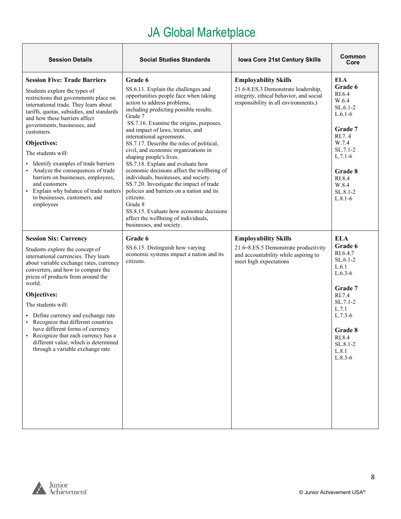| <b>Session Details</b>                                                                                                                                                                                                                                                                                                                                                                                                                                                                                                                                                   | <b>Social Studies Standards</b>                                                                                                                                                                                                                                                                                                                                                                                                                                                                                                                                                                                                                                                                                                                                       | Iowa Core 21st Century Skills                                                                                                                         | Common<br>Core                                                                                                                                                                      |
|--------------------------------------------------------------------------------------------------------------------------------------------------------------------------------------------------------------------------------------------------------------------------------------------------------------------------------------------------------------------------------------------------------------------------------------------------------------------------------------------------------------------------------------------------------------------------|-----------------------------------------------------------------------------------------------------------------------------------------------------------------------------------------------------------------------------------------------------------------------------------------------------------------------------------------------------------------------------------------------------------------------------------------------------------------------------------------------------------------------------------------------------------------------------------------------------------------------------------------------------------------------------------------------------------------------------------------------------------------------|-------------------------------------------------------------------------------------------------------------------------------------------------------|-------------------------------------------------------------------------------------------------------------------------------------------------------------------------------------|
| <b>Session Five: Trade Barriers</b><br>Students explore the types of<br>restrictions that governments place on<br>international trade. They learn about<br>tariffs, quotas, subsidies, and standards<br>and how these barriers affect<br>governments, businesses, and<br>customers.<br>Objectives:<br>The students will:<br>Identify examples of trade barriers<br>Analyze the consequences of trade<br>٠<br>barriers on businesses, employees,<br>and customers<br>Explain why balance of trade matters<br>$\blacksquare$<br>to businesses, customers, and<br>employees | Grade 6<br>SS.6.11. Explain the challenges and<br>opportunities people face when taking<br>action to address problems,<br>including predicting possible results.<br>Grade 7<br>SS.7.16. Examine the origins, purposes,<br>and impact of laws, treaties, and<br>international agreements.<br>SS.7.17. Describe the roles of political,<br>civil, and economic organizations in<br>shaping people's lives.<br>SS.7.18. Explain and evaluate how<br>economic decisions affect the wellbeing of<br>individuals, businesses, and society.<br>SS.7.20. Investigate the impact of trade<br>policies and barriers on a nation and its<br>citizens.<br>Grade 8<br>SS.8.15. Evaluate how economic decisions<br>affect the wellbeing of individuals,<br>businesses, and society. | <b>Employability Skills</b><br>21.6-8.ES.3 Demonstrate leadership,<br>integrity, ethical behavior, and social<br>responsibility in all environments.) | <b>ELA</b><br>Grade 6<br>RI.6.4<br>W.6.4<br>$SL.6.1-2$<br>$L.6.1-6$<br>Grade 7<br>RI.7.4<br>W.7.4<br>$SL.7.1-2$<br>$L.7.1-6$<br>Grade 8<br>RI.8.4<br>W.8.4<br>SL.8.1-2<br>$L.8.1-6$ |
| <b>Session Six: Currency</b><br>Students explore the concept of<br>international currencies. They learn<br>about variable exchange rates, currency<br>converters, and how to compare the<br>prices of products from around the<br>world.<br>Objectives:<br>The students will:<br>• Define currency and exchange rate<br>• Recognize that different countries<br>have different forms of currency<br>• Recognize that each currency has a<br>different value, which is determined<br>through a variable exchange rate                                                     | Grade 6<br>SS.6.15. Distinguish how varying<br>economic systems impact a nation and its<br>citizens.                                                                                                                                                                                                                                                                                                                                                                                                                                                                                                                                                                                                                                                                  | <b>Employability Skills</b><br>21.6-8.ES.5 Demonstrate productivity<br>and accountability while aspiring to<br>meet high expectations                 | <b>ELA</b><br>Grade 6<br>RI.6.4,7<br>$SL.6.1-2$<br>L.6.1<br>$L.6.3-6$<br>Grade 7<br>RI.7.4<br>SL.7.1-2<br>L.7.1<br>$L.7.3-6$<br>Grade 8<br>RI.8.4<br>SL.8.1-2<br>L.8.1<br>$L.8.3-6$ |

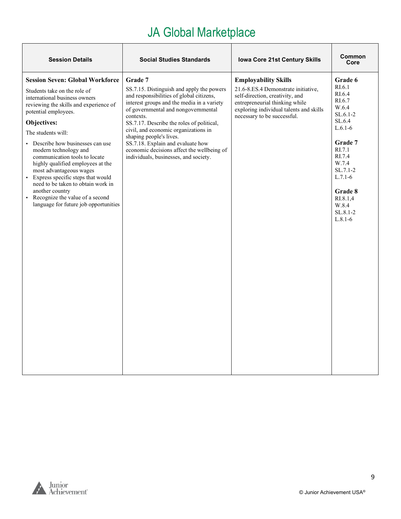| <b>Session Details</b>                                                                                                                                                                                                                                                                                                                                                                                                                                                                                                                                       | <b>Social Studies Standards</b>                                                                                                                                                                                                                                                                                                                                                                                                                | <b>Iowa Core 21st Century Skills</b>                                                                                                                                                                              | Common<br>Core                                                                                                                                                                                                    |
|--------------------------------------------------------------------------------------------------------------------------------------------------------------------------------------------------------------------------------------------------------------------------------------------------------------------------------------------------------------------------------------------------------------------------------------------------------------------------------------------------------------------------------------------------------------|------------------------------------------------------------------------------------------------------------------------------------------------------------------------------------------------------------------------------------------------------------------------------------------------------------------------------------------------------------------------------------------------------------------------------------------------|-------------------------------------------------------------------------------------------------------------------------------------------------------------------------------------------------------------------|-------------------------------------------------------------------------------------------------------------------------------------------------------------------------------------------------------------------|
| <b>Session Seven: Global Workforce</b><br>Students take on the role of<br>international business owners<br>reviewing the skills and experience of<br>potential employees.<br>Objectives:<br>The students will:<br>Describe how businesses can use<br>modern technology and<br>communication tools to locate<br>highly qualified employees at the<br>most advantageous wages<br>• Express specific steps that would<br>need to be taken to obtain work in<br>another country<br>Recognize the value of a second<br>٠<br>language for future job opportunities | Grade 7<br>SS.7.15. Distinguish and apply the powers<br>and responsibilities of global citizens,<br>interest groups and the media in a variety<br>of governmental and nongovernmental<br>contexts.<br>SS.7.17. Describe the roles of political,<br>civil, and economic organizations in<br>shaping people's lives.<br>SS.7.18. Explain and evaluate how<br>economic decisions affect the wellbeing of<br>individuals, businesses, and society. | <b>Employability Skills</b><br>21.6-8.ES.4 Demonstrate initiative,<br>self-direction, creativity, and<br>entrepreneurial thinking while<br>exploring individual talents and skills<br>necessary to be successful. | Grade 6<br>RI.6.1<br>RI.6.4<br>RI.6.7<br>W.6.4<br>$SL.6.1-2$<br>SL.6.4<br>$L.6.1-6$<br>Grade 7<br>RI.7.1<br>RI.7.4<br>W.7.4<br>$SL.7.1-2$<br>$L.7.1-6$<br>Grade 8<br>RI.8.1,4<br>W.8.4<br>$SL.8.1-2$<br>$L.8.1-6$ |

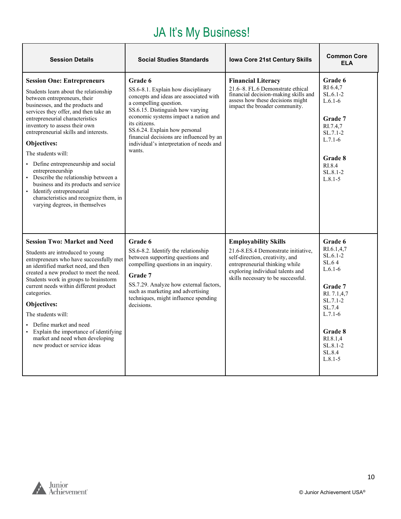### JA It's My Business!

<span id="page-9-0"></span>

| <b>Session Details</b>                                                                                                                                                                                                                                                                                                                                                                                                                                                                                                                                                                            | <b>Social Studies Standards</b>                                                                                                                                                                                                                                                                                                                   | <b>Iowa Core 21st Century Skills</b>                                                                                                                                                                              | <b>Common Core</b><br>FI A                                                                                                                                                           |
|---------------------------------------------------------------------------------------------------------------------------------------------------------------------------------------------------------------------------------------------------------------------------------------------------------------------------------------------------------------------------------------------------------------------------------------------------------------------------------------------------------------------------------------------------------------------------------------------------|---------------------------------------------------------------------------------------------------------------------------------------------------------------------------------------------------------------------------------------------------------------------------------------------------------------------------------------------------|-------------------------------------------------------------------------------------------------------------------------------------------------------------------------------------------------------------------|--------------------------------------------------------------------------------------------------------------------------------------------------------------------------------------|
| <b>Session One: Entrepreneurs</b><br>Students learn about the relationship<br>between entrepreneurs, their<br>businesses, and the products and<br>services they offer, and then take an<br>entrepreneurial characteristics<br>inventory to assess their own<br>entrepreneurial skills and interests.<br>Objectives:<br>The students will:<br>• Define entrepreneurship and social<br>entrepreneurship<br>• Describe the relationship between a<br>business and its products and service<br>• Identify entrepreneurial<br>characteristics and recognize them, in<br>varying degrees, in themselves | Grade 6<br>SS.6-8.1. Explain how disciplinary<br>concepts and ideas are associated with<br>a compelling question.<br>SS.6.15. Distinguish how varying<br>economic systems impact a nation and<br>its citizens.<br>SS.6.24. Explain how personal<br>financial decisions are influenced by an<br>individual's interpretation of needs and<br>wants. | <b>Financial Literacy</b><br>21.6-8. FL.6 Demonstrate ethical<br>financial decision-making skills and<br>assess how these decisions might<br>impact the broader community.                                        | Grade 6<br>RI 6.4,7<br>$SL.6.1-2$<br>$L.6.1-6$<br>Grade 7<br>RI.7.4.7<br>$SL.7.1-2$<br>$L.7.1-6$<br>Grade 8<br>RL8.4<br>$SL.8.1-2$<br>$L.8.1 - 5$                                    |
| <b>Session Two: Market and Need</b><br>Students are introduced to young<br>entrepreneurs who have successfully met<br>an identified market need, and then<br>created a new product to meet the need.<br>Students work in groups to brainstorm<br>current needs within different product<br>categories.<br>Objectives:<br>The students will:<br>• Define market and need<br>• Explain the importance of identifying<br>market and need when developing<br>new product or service ideas                                                                                                             | Grade 6<br>SS.6-8.2. Identify the relationship<br>between supporting questions and<br>compelling questions in an inquiry.<br>Grade 7<br>SS.7.29. Analyze how external factors,<br>such as marketing and advertising<br>techniques, might influence spending<br>decisions.                                                                         | <b>Employability Skills</b><br>21.6-8.ES.4 Demonstrate initiative,<br>self-direction, creativity, and<br>entrepreneurial thinking while<br>exploring individual talents and<br>skills necessary to be successful. | Grade 6<br>RI.6.1,4,7<br>$SL.6.1-2$<br>SL.64<br>$L.6.1-6$<br>Grade 7<br>RI. 7.1,4,7<br>$SL.7.1-2$<br>SL.7.4<br>$L.7.1-6$<br>Grade 8<br>RI.8.1.4<br>SL.8.1-2<br>SL.8.4<br>$L.8.1 - 5$ |

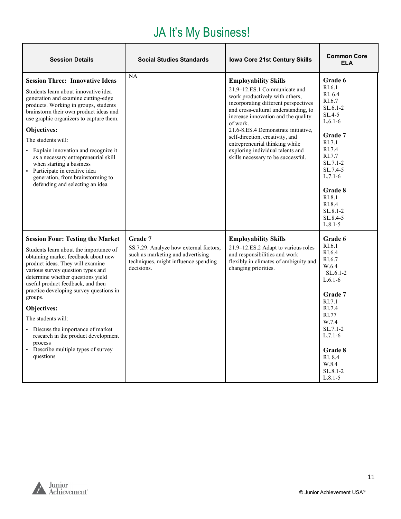### JA It's My Business!

| <b>Session Details</b>                                                                                                                                                                                                                                                                                                                                                                                                                                                                                          | <b>Social Studies Standards</b>                                                                                                              | Iowa Core 21st Century Skills                                                                                                                                                                                                                                                                                                                                                                                          | <b>Common Core</b><br><b>ELA</b>                                                                                                                                                                                     |
|-----------------------------------------------------------------------------------------------------------------------------------------------------------------------------------------------------------------------------------------------------------------------------------------------------------------------------------------------------------------------------------------------------------------------------------------------------------------------------------------------------------------|----------------------------------------------------------------------------------------------------------------------------------------------|------------------------------------------------------------------------------------------------------------------------------------------------------------------------------------------------------------------------------------------------------------------------------------------------------------------------------------------------------------------------------------------------------------------------|----------------------------------------------------------------------------------------------------------------------------------------------------------------------------------------------------------------------|
| <b>Session Three: Innovative Ideas</b><br>Students learn about innovative idea<br>generation and examine cutting-edge<br>products. Working in groups, students<br>brainstorm their own product ideas and<br>use graphic organizers to capture them.<br>Objectives:<br>The students will:<br>· Explain innovation and recognize it<br>as a necessary entrepreneurial skill<br>when starting a business<br>• Participate in creative idea<br>generation, from brainstorming to<br>defending and selecting an idea | NA                                                                                                                                           | <b>Employability Skills</b><br>21.9-12.ES.1 Communicate and<br>work productively with others,<br>incorporating different perspectives<br>and cross-cultural understanding, to<br>increase innovation and the quality<br>of work.<br>21.6-8.ES.4 Demonstrate initiative,<br>self-direction, creativity, and<br>entrepreneurial thinking while<br>exploring individual talents and<br>skills necessary to be successful. | Grade 6<br>RI.6.1<br>RI. 6.4<br>RI.6.7<br>$SL.6.1-2$<br>$SL.4-5$<br>$L.6.1-6$<br>Grade 7<br>RI.7.1<br>RI.7.4<br>RI.7.7<br>$SL.7.1-2$<br>SL.7.4-5<br>$L.7.1-6$<br>Grade 8<br>RI.8.1<br>RI.8.4<br>SL.8.1-2<br>SL.8.4-5 |
| <b>Session Four: Testing the Market</b><br>Students learn about the importance of<br>obtaining market feedback about new<br>product ideas. They will examine<br>various survey question types and<br>determine whether questions yield<br>useful product feedback, and then<br>practice developing survey questions in<br>groups.<br>Objectives:<br>The students will:<br>• Discuss the importance of market<br>research in the product development<br>process<br>• Describe multiple types of survey           | Grade 7<br>SS.7.29. Analyze how external factors,<br>such as marketing and advertising<br>techniques, might influence spending<br>decisions. | <b>Employability Skills</b><br>21.9-12.ES.2 Adapt to various roles<br>and responsibilities and work<br>flexibly in climates of ambiguity and<br>changing priorities.                                                                                                                                                                                                                                                   | $L.8.1 - 5$<br>Grade 6<br>RI.6.1<br>RI.6.4<br>RI.6.7<br>W.6.4<br>$SL.6.1-2$<br>$L.6.1-6$<br>Grade 7<br>RI.7.1<br>RI.7.4<br>RI.77<br>W.7.4<br>$SL.7.1-2$<br>$L.7.1-6$<br>Grade 8                                      |
| questions                                                                                                                                                                                                                                                                                                                                                                                                                                                                                                       |                                                                                                                                              |                                                                                                                                                                                                                                                                                                                                                                                                                        | RI. 8.4<br>W.8.4<br>SL.8.1-2<br>$L.8.1 - 5$                                                                                                                                                                          |

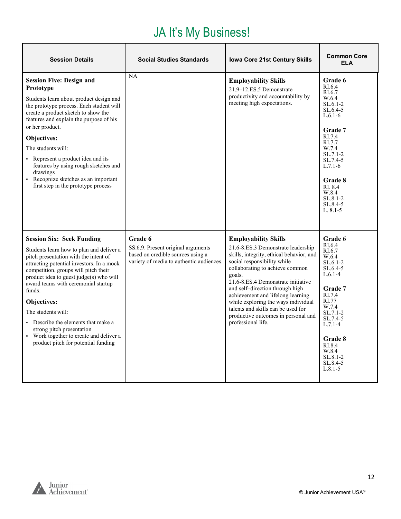### JA It's My Business!

| <b>Session Details</b>                                                                                                                                                                                                                                                                                                                                                                                                                                                                          | <b>Social Studies Standards</b>                                                                                                | Iowa Core 21st Century Skills                                                                                                                                                                                                                                                                                                                                                                                                                     | <b>Common Core</b><br><b>ELA</b>                                                                                                                                                                                                        |
|-------------------------------------------------------------------------------------------------------------------------------------------------------------------------------------------------------------------------------------------------------------------------------------------------------------------------------------------------------------------------------------------------------------------------------------------------------------------------------------------------|--------------------------------------------------------------------------------------------------------------------------------|---------------------------------------------------------------------------------------------------------------------------------------------------------------------------------------------------------------------------------------------------------------------------------------------------------------------------------------------------------------------------------------------------------------------------------------------------|-----------------------------------------------------------------------------------------------------------------------------------------------------------------------------------------------------------------------------------------|
| <b>Session Five: Design and</b><br>Prototype<br>Students learn about product design and<br>the prototype process. Each student will<br>create a product sketch to show the<br>features and explain the purpose of his<br>or her product.<br>Objectives:<br>The students will:<br>• Represent a product idea and its<br>features by using rough sketches and<br>drawings<br>• Recognize sketches as an important<br>first step in the prototype process                                          | NA                                                                                                                             | <b>Employability Skills</b><br>21.9-12.ES.5 Demonstrate<br>productivity and accountability by<br>meeting high expectations.                                                                                                                                                                                                                                                                                                                       | Grade 6<br>RI.6.4<br>RI.6.7<br>W.6.4<br>$SL.6.1-2$<br>$SL.6.4-5$<br>$L.6.1-6$<br>Grade 7<br>RI.7.4<br>RI.7.7<br>W.7.4<br>$SL.7.1-2$<br>SL.7.4-5<br>$L.7.1-6$<br>Grade 8<br>RI. 8.4<br>W.8.4<br>$SL.8.1 - 2$<br>SL.8.4-5<br>$L. 8.1 - 5$ |
| <b>Session Six: Seek Funding</b><br>Students learn how to plan and deliver a<br>pitch presentation with the intent of<br>attracting potential investors. In a mock<br>competition, groups will pitch their<br>product idea to guest judge(s) who will<br>award teams with ceremonial startup<br>funds.<br>Objectives:<br>The students will:<br>• Describe the elements that make a<br>strong pitch presentation<br>Work together to create and deliver a<br>product pitch for potential funding | Grade 6<br>SS.6.9. Present original arguments<br>based on credible sources using a<br>variety of media to authentic audiences. | <b>Employability Skills</b><br>21.6-8.ES.3 Demonstrate leadership<br>skills, integrity, ethical behavior, and<br>social responsibility while<br>collaborating to achieve common<br>goals.<br>21.6-8.ES.4 Demonstrate initiative<br>and self-direction through high<br>achievement and lifelong learning<br>while exploring the ways individual<br>talents and skills can be used for<br>productive outcomes in personal and<br>professional life. | Grade 6<br>RI.6.4<br>RI.6.7<br>W.6.4<br>$SL.6.1-2$<br>$SL.6.4-5$<br>$L.6.1-4$<br>Grade 7<br>RI.7.4<br>RI.77<br>W.7.4<br>SL.7.1-2<br>SL.7.4-5<br>$L.7.1-4$<br>Grade 8<br>RI.8.4<br>W.8.4<br>SL.8.1-2<br>SL.8.4-5<br>$L.8.1 - 5$          |

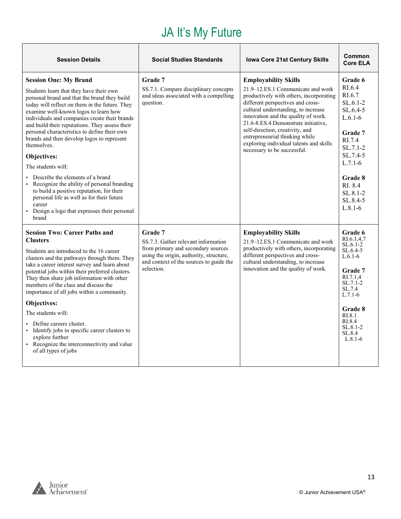#### JA It's My Future

<span id="page-12-0"></span>

| <b>Session Details</b>                                                                                                                                                                                                                                                                                                                                                                                                                                                  | <b>Social Studies Standards</b>                                                                                                                                                          | <b>Iowa Core 21st Century Skills</b>                                                                                                                                                                                                                                                                                                                                                                                 | Common<br><b>Core ELA</b>                                                                                                                 |
|-------------------------------------------------------------------------------------------------------------------------------------------------------------------------------------------------------------------------------------------------------------------------------------------------------------------------------------------------------------------------------------------------------------------------------------------------------------------------|------------------------------------------------------------------------------------------------------------------------------------------------------------------------------------------|----------------------------------------------------------------------------------------------------------------------------------------------------------------------------------------------------------------------------------------------------------------------------------------------------------------------------------------------------------------------------------------------------------------------|-------------------------------------------------------------------------------------------------------------------------------------------|
| <b>Session One: My Brand</b><br>Students learn that they have their own<br>personal brand and that the brand they build<br>today will reflect on them in the future. They<br>examine well-known logos to learn how<br>individuals and companies create their brands<br>and build their reputations. They assess their<br>personal characteristics to define their own<br>brands and then develop logos to represent<br>themselves.<br>Objectives:<br>The students will: | Grade 7<br>SS.7.1. Compare disciplinary concepts<br>and ideas associated with a compelling<br>question.                                                                                  | <b>Employability Skills</b><br>21.9–12.ES.1 Communicate and work<br>productively with others, incorporating<br>different perspectives and cross-<br>cultural understanding, to increase<br>innovation and the quality of work.<br>21.6-8.ES.4 Demonstrate initiative,<br>self-direction, creativity, and<br>entrepreneurial thinking while<br>exploring individual talents and skills<br>necessary to be successful. | Grade 6<br>RL <sub>6.4</sub><br>RI.6.7<br>$SL.6.1-2$<br>$SL.6.4-5$<br>$L.6.1-6$<br>Grade 7<br>RI.7.4<br>SL.7.1-2<br>SL.7.4-5<br>$L.7.1-6$ |
| Describe the elements of a brand<br>Recognize the ability of personal branding<br>to build a positive reputation, for their<br>personal life as well as for their future<br>career<br>• Design a logo that expresses their personal<br>brand                                                                                                                                                                                                                            |                                                                                                                                                                                          |                                                                                                                                                                                                                                                                                                                                                                                                                      | <b>Grade 8</b><br>RI. 8.4<br>SL.8.1-2<br>SL.8.4-5<br>$L.8.1-6$                                                                            |
| <b>Session Two: Career Paths and</b><br><b>Clusters</b><br>Students are introduced to the 16 career<br>clusters and the pathways through them. They<br>take a career interest survey and learn about<br>potential jobs within their preferred clusters.<br>They then share job information with other<br>members of the class and discuss the<br>importance of all jobs within a community.                                                                             | Grade 7<br>SS.7.3. Gather relevant information<br>from primary and secondary sources<br>using the origin, authority, structure,<br>and context of the sources to guide the<br>selection. | <b>Employability Skills</b><br>21.9-12.ES.1 Communicate and work<br>productively with others, incorporating<br>different perspectives and cross-<br>cultural understanding, to increase<br>innovation and the quality of work.                                                                                                                                                                                       | Grade 6<br>RI.6.1,4,7<br>$SL.6.1-2$<br>$SL.6.4-5$<br>$L.6.1-6$<br>Grade 7<br>RI.7.1,4<br>$SL.7.1-2$<br>SL.7.4<br>$L.7.1-6$                |
| Objectives:<br>The students will:<br>Define careers cluster.<br>• Identify jobs in specific career clusters to<br>explore further<br>• Recognize the interconnectivity and value<br>of all types of jobs                                                                                                                                                                                                                                                                |                                                                                                                                                                                          |                                                                                                                                                                                                                                                                                                                                                                                                                      | Grade 8<br>RI.8.1<br>RI.8.4<br>$SL.8.1 - 2$<br>SL.8.4<br>$L.8.1-6$                                                                        |



13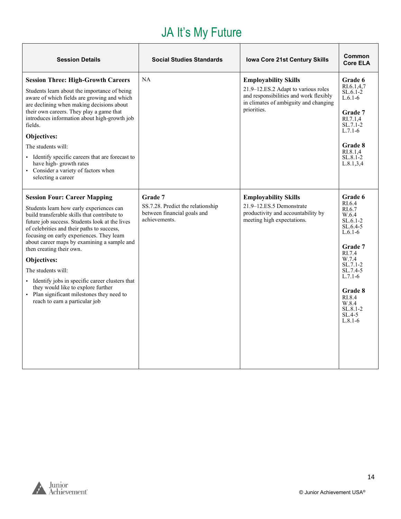# JA It's My Future

| <b>Session Details</b>                                                                                                                                                                                                                                                                                                                                                                                                                                                                                                                                                 | <b>Social Studies Standards</b>                                                              | <b>Iowa Core 21st Century Skills</b>                                                                                                                                 | Common<br><b>Core ELA</b>                                                                                                                                                                                                   |
|------------------------------------------------------------------------------------------------------------------------------------------------------------------------------------------------------------------------------------------------------------------------------------------------------------------------------------------------------------------------------------------------------------------------------------------------------------------------------------------------------------------------------------------------------------------------|----------------------------------------------------------------------------------------------|----------------------------------------------------------------------------------------------------------------------------------------------------------------------|-----------------------------------------------------------------------------------------------------------------------------------------------------------------------------------------------------------------------------|
| <b>Session Three: High-Growth Careers</b><br>Students learn about the importance of being<br>aware of which fields are growing and which<br>are declining when making decisions about<br>their own careers. They play a game that<br>introduces information about high-growth job<br>fields.<br>Objectives:<br>The students will:<br>• Identify specific careers that are forecast to<br>have high-growth rates<br>• Consider a variety of factors when<br>selecting a career                                                                                          | NA                                                                                           | <b>Employability Skills</b><br>21.9-12.ES.2 Adapt to various roles<br>and responsibilities and work flexibly<br>in climates of ambiguity and changing<br>priorities. | Grade 6<br>RI.6.1.4.7<br>$SL.6.1-2$<br>$L.6.1-6$<br><b>Grade</b> 7<br>RI.7.1.4<br>$SL.7.1-2$<br>$L.7.1-6$<br>Grade 8<br>RI.8.1.4<br>SL.8.1-2<br>L.8.1, 3, 4                                                                 |
| <b>Session Four: Career Mapping</b><br>Students learn how early experiences can<br>build transferable skills that contribute to<br>future job success. Students look at the lives<br>of celebrities and their paths to success,<br>focusing on early experiences. They learn<br>about career maps by examining a sample and<br>then creating their own.<br>Objectives:<br>The students will:<br>• Identify jobs in specific career clusters that<br>they would like to explore further<br>• Plan significant milestones they need to<br>reach to earn a particular job | Grade 7<br>SS.7.28. Predict the relationship<br>between financial goals and<br>achievements. | <b>Employability Skills</b><br>21.9-12.ES.5 Demonstrate<br>productivity and accountability by<br>meeting high expectations.                                          | Grade 6<br>RI.6.4<br>RI.6.7<br>W.6.4<br>$SL.6.1-2$<br>$SL.6.4-5$<br>$L.6.1-6$<br>Grade 7<br>RI.7.4<br>W.7.4<br>$SL.7.1-2$<br>SL.7.4-5<br>$L.7.1-6$<br>Grade 8<br>RI.8.4<br>W.8.4<br>$SL.8.1 - 2$<br>$SL.4-5$<br>$L.8.1 - 6$ |

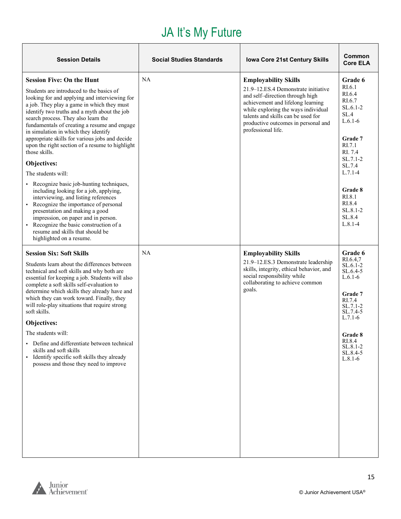### JA It's My Future

| <b>Session Details</b>                                                                                                                                                                                                                                                                                                                                                                                                                                                                                                                                                                                                                                                                                                                                                                                                                                                                             | <b>Social Studies Standards</b> | Iowa Core 21st Century Skills                                                                                                                                                                                                                                                        | Common<br><b>Core ELA</b>                                                                                                                                                                                       |
|----------------------------------------------------------------------------------------------------------------------------------------------------------------------------------------------------------------------------------------------------------------------------------------------------------------------------------------------------------------------------------------------------------------------------------------------------------------------------------------------------------------------------------------------------------------------------------------------------------------------------------------------------------------------------------------------------------------------------------------------------------------------------------------------------------------------------------------------------------------------------------------------------|---------------------------------|--------------------------------------------------------------------------------------------------------------------------------------------------------------------------------------------------------------------------------------------------------------------------------------|-----------------------------------------------------------------------------------------------------------------------------------------------------------------------------------------------------------------|
| <b>Session Five: On the Hunt</b><br>Students are introduced to the basics of<br>looking for and applying and interviewing for<br>a job. They play a game in which they must<br>identify two truths and a myth about the job<br>search process. They also learn the<br>fundamentals of creating a resume and engage<br>in simulation in which they identify<br>appropriate skills for various jobs and decide<br>upon the right section of a resume to highlight<br>those skills.<br>Objectives:<br>The students will:<br>• Recognize basic job-hunting techniques,<br>including looking for a job, applying,<br>interviewing, and listing references<br>• Recognize the importance of personal<br>presentation and making a good<br>impression, on paper and in person.<br>Recognize the basic construction of a<br>$\blacksquare$<br>resume and skills that should be<br>highlighted on a resume. | NA                              | <b>Employability Skills</b><br>21.9–12.ES.4 Demonstrate initiative<br>and self-direction through high<br>achievement and lifelong learning<br>while exploring the ways individual<br>talents and skills can be used for<br>productive outcomes in personal and<br>professional life. | Grade 6<br>RI.6.1<br>RI.6.4<br>RI.6.7<br>$SL.6.1-2$<br>SL.4<br>$L.6.1-6$<br>Grade 7<br>RI.7.1<br>RI. 7.4<br>SL.7.1-2<br>SL.7.4<br>$L.7.1-4$<br>Grade 8<br>RI.8.1<br>RI.8.4<br>SL.8.1-2<br>SL.8.4<br>$L.8.1 - 4$ |
| <b>Session Six: Soft Skills</b><br>Students learn about the differences between<br>technical and soft skills and why both are<br>essential for keeping a job. Students will also<br>complete a soft skills self-evaluation to<br>determine which skills they already have and<br>which they can work toward. Finally, they<br>will role-play situations that require strong<br>soft skills.<br>Objectives:<br>The students will:<br>Define and differentiate between technical<br>skills and soft skills<br>Identify specific soft skills they already<br>٠<br>possess and those they need to improve                                                                                                                                                                                                                                                                                              | <b>NA</b>                       | <b>Employability Skills</b><br>21.9-12.ES.3 Demonstrate leadership<br>skills, integrity, ethical behavior, and<br>social responsibility while<br>collaborating to achieve common<br>goals.                                                                                           | Grade 6<br>RI.6.4,7<br>SL.6.1-2<br>$SL.6.4-5$<br>$L.6.1-6$<br>Grade 7<br>RI.7.4<br>SL.7.1-2<br>SL.7.4-5<br>$L.7.1-6$<br>Grade 8<br>RI.8.4<br>$SL.8.1-2$<br>SL.8.4-5<br>$L.8.1-6$                                |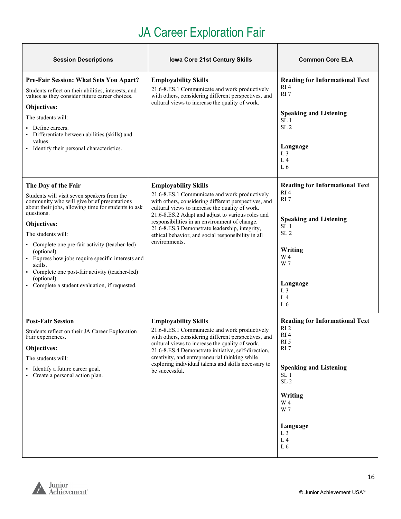# JA Career Exploration Fair

T

<span id="page-15-0"></span>

| <b>Session Descriptions</b>                                                                                                                                                                                                                                                                                                                                                                                                                                                  | <b>Iowa Core 21st Century Skills</b>                                                                                                                                                                                                                                                                                                                                                                                   | <b>Common Core ELA</b>                                                                                                                                                                                                                                                  |
|------------------------------------------------------------------------------------------------------------------------------------------------------------------------------------------------------------------------------------------------------------------------------------------------------------------------------------------------------------------------------------------------------------------------------------------------------------------------------|------------------------------------------------------------------------------------------------------------------------------------------------------------------------------------------------------------------------------------------------------------------------------------------------------------------------------------------------------------------------------------------------------------------------|-------------------------------------------------------------------------------------------------------------------------------------------------------------------------------------------------------------------------------------------------------------------------|
| Pre-Fair Session: What Sets You Apart?<br>Students reflect on their abilities, interests, and<br>values as they consider future career choices.<br>Objectives:<br>The students will:<br>Define careers.<br>Differentiate between abilities (skills) and<br>values.<br>• Identify their personal characteristics.                                                                                                                                                             | <b>Employability Skills</b><br>21.6-8.ES.1 Communicate and work productively<br>with others, considering different perspectives, and<br>cultural views to increase the quality of work.                                                                                                                                                                                                                                | <b>Reading for Informational Text</b><br>RI4<br>RI <sub>7</sub><br><b>Speaking and Listening</b><br>SL <sub>1</sub><br>SL <sub>2</sub><br>Language<br>L <sub>3</sub><br>L <sub>4</sub><br>L6                                                                            |
| The Day of the Fair<br>Students will visit seven speakers from the<br>community who will give brief presentations<br>about their jobs, allowing time for students to ask<br>questions.<br>Objectives:<br>The students will:<br>• Complete one pre-fair activity (teacher-led)<br>(optional).<br>Express how jobs require specific interests and<br>skills.<br>• Complete one post-fair activity (teacher-led)<br>(optional).<br>Complete a student evaluation, if requested. | <b>Employability Skills</b><br>21.6-8.ES.1 Communicate and work productively<br>with others, considering different perspectives, and<br>cultural views to increase the quality of work.<br>21.6-8.ES.2 Adapt and adjust to various roles and<br>responsibilities in an environment of change.<br>21.6-8.ES.3 Demonstrate leadership, integrity,<br>ethical behavior, and social responsibility in all<br>environments. | <b>Reading for Informational Text</b><br>RI4<br>RI7<br><b>Speaking and Listening</b><br>SL <sub>1</sub><br>SL <sub>2</sub><br>Writing<br>W <sub>4</sub><br>W 7<br>Language<br>L <sub>3</sub><br>L <sub>4</sub><br>L6                                                    |
| <b>Post-Fair Session</b><br>Students reflect on their JA Career Exploration<br>Fair experiences.<br>Objectives:<br>The students will:<br>Identify a future career goal.<br>• Create a personal action plan.                                                                                                                                                                                                                                                                  | <b>Employability Skills</b><br>21.6-8.ES.1 Communicate and work productively<br>with others, considering different perspectives, and<br>cultural views to increase the quality of work.<br>21.6-8.ES.4 Demonstrate initiative, self-direction,<br>creativity, and entrepreneurial thinking while<br>exploring individual talents and skills necessary to<br>be successful.                                             | <b>Reading for Informational Text</b><br>RI <sub>2</sub><br>RI <sub>4</sub><br>RI <sub>5</sub><br>RI <sub>7</sub><br><b>Speaking and Listening</b><br>SL <sub>1</sub><br>SL <sub>2</sub><br>Writing<br>W 4<br>W 7<br>Language<br>L <sub>3</sub><br>L <sub>4</sub><br>L6 |



 $\overline{\phantom{0}}$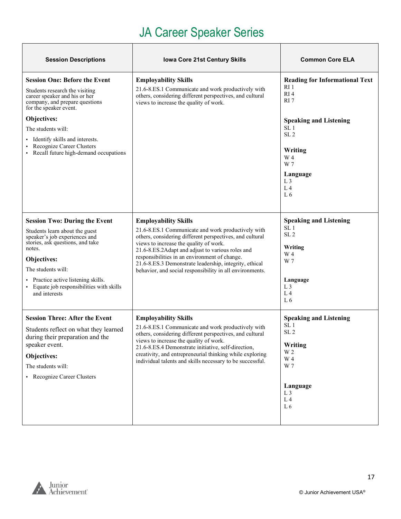### JA Career Speaker Series

<span id="page-16-0"></span>

| <b>Session Descriptions</b>                                                                                                                                                                                                                                                                                      | <b>Iowa Core 21st Century Skills</b>                                                                                                                                                                                                                                                                                                                                                                               | <b>Common Core ELA</b>                                                                                                                                                                                                        |
|------------------------------------------------------------------------------------------------------------------------------------------------------------------------------------------------------------------------------------------------------------------------------------------------------------------|--------------------------------------------------------------------------------------------------------------------------------------------------------------------------------------------------------------------------------------------------------------------------------------------------------------------------------------------------------------------------------------------------------------------|-------------------------------------------------------------------------------------------------------------------------------------------------------------------------------------------------------------------------------|
| <b>Session One: Before the Event</b><br>Students research the visiting<br>career speaker and his or her<br>company, and prepare questions<br>for the speaker event.<br>Objectives:<br>The students will:<br>Identify skills and interests.<br>Recognize Career Clusters<br>Recall future high-demand occupations | <b>Employability Skills</b><br>21.6-8.ES.1 Communicate and work productively with<br>others, considering different perspectives, and cultural<br>views to increase the quality of work.                                                                                                                                                                                                                            | <b>Reading for Informational Text</b><br>RI 1<br>RI4<br>RI <sub>7</sub><br><b>Speaking and Listening</b><br>SL <sub>1</sub><br>SL <sub>2</sub><br>Writing<br>W 4<br>W 7<br>Language<br>L <sub>3</sub><br>L <sub>4</sub><br>L6 |
| <b>Session Two: During the Event</b><br>Students learn about the guest<br>speaker's job experiences and<br>stories, ask questions, and take<br>notes.<br>Objectives:<br>The students will:<br>• Practice active listening skills.<br>Equate job responsibilities with skills<br>and interests                    | <b>Employability Skills</b><br>21.6-8.ES.1 Communicate and work productively with<br>others, considering different perspectives, and cultural<br>views to increase the quality of work.<br>21.6-8.ES.2Adapt and adjust to various roles and<br>responsibilities in an environment of change.<br>21.6-8.ES.3 Demonstrate leadership, integrity, ethical<br>behavior, and social responsibility in all environments. | <b>Speaking and Listening</b><br>SL <sub>1</sub><br>SL <sub>2</sub><br>Writing<br>W 4<br>W 7<br>Language<br>L <sub>3</sub><br>L <sub>4</sub><br>L <sub>6</sub>                                                                |
| <b>Session Three: After the Event</b><br>Students reflect on what they learned<br>during their preparation and the<br>speaker event.<br>Objectives:<br>The students will:<br>• Recognize Career Clusters                                                                                                         | <b>Employability Skills</b><br>21.6-8.ES.1 Communicate and work productively with<br>others, considering different perspectives, and cultural<br>views to increase the quality of work.<br>21.6-8.ES.4 Demonstrate initiative, self-direction,<br>creativity, and entrepreneurial thinking while exploring<br>individual talents and skills necessary to be successful.                                            | <b>Speaking and Listening</b><br>SL <sub>1</sub><br>SL <sub>2</sub><br>Writing<br>W 2<br>W 4<br>W 7<br>Language<br>L <sub>3</sub><br>L <sub>4</sub><br>L <sub>6</sub>                                                         |

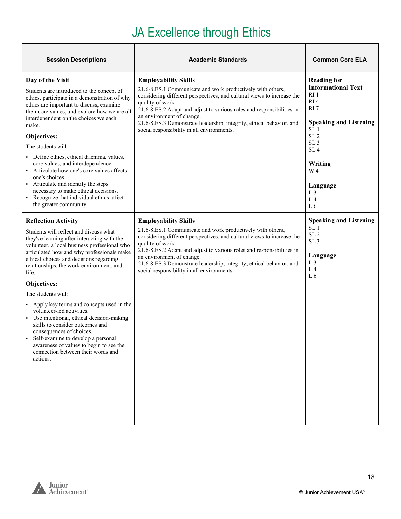### JA Excellence through Ethics

| <b>Session Descriptions</b>                                                                                                                                                                                                                                                                                                                                                                                                                                                                                                                                                                                                                                                       | <b>Academic Standards</b>                                                                                                                                                                                                                                                                                                                                                                                           | <b>Common Core ELA</b>                                                                                                                                                                                                                                                             |
|-----------------------------------------------------------------------------------------------------------------------------------------------------------------------------------------------------------------------------------------------------------------------------------------------------------------------------------------------------------------------------------------------------------------------------------------------------------------------------------------------------------------------------------------------------------------------------------------------------------------------------------------------------------------------------------|---------------------------------------------------------------------------------------------------------------------------------------------------------------------------------------------------------------------------------------------------------------------------------------------------------------------------------------------------------------------------------------------------------------------|------------------------------------------------------------------------------------------------------------------------------------------------------------------------------------------------------------------------------------------------------------------------------------|
| Day of the Visit<br>Students are introduced to the concept of<br>ethics, participate in a demonstration of why<br>ethics are important to discuss, examine<br>their core values, and explore how we are all<br>interdependent on the choices we each<br>make.<br>Objectives:<br>The students will:<br>• Define ethics, ethical dilemma, values,<br>core values, and interdependence.<br>• Articulate how one's core values affects<br>one's choices.<br>• Articulate and identify the steps<br>necessary to make ethical decisions.<br>• Recognize that individual ethics affect<br>the greater community.                                                                        | <b>Employability Skills</b><br>21.6-8.ES.1 Communicate and work productively with others,<br>considering different perspectives, and cultural views to increase the<br>quality of work.<br>21.6-8.ES.2 Adapt and adjust to various roles and responsibilities in<br>an environment of change.<br>21.6-8.ES.3 Demonstrate leadership, integrity, ethical behavior, and<br>social responsibility in all environments. | <b>Reading for</b><br><b>Informational Text</b><br>RI <sub>1</sub><br>RI4<br>RI 7<br><b>Speaking and Listening</b><br>SL <sub>1</sub><br>SL <sub>2</sub><br>SL <sub>3</sub><br>SL <sub>4</sub><br>Writing<br>W 4<br>Language<br>L <sub>3</sub><br>L <sub>4</sub><br>L <sub>6</sub> |
| <b>Reflection Activity</b><br>Students will reflect and discuss what<br>they've learning after interacting with the<br>volunteer, a local business professional who<br>articulated how and why professionals make<br>ethical choices and decisions regarding<br>relationships, the work environment, and<br>life.<br>Objectives:<br>The students will:<br>• Apply key terms and concepts used in the<br>volunteer-led activities.<br>• Use intentional, ethical decision-making<br>skills to consider outcomes and<br>consequences of choices.<br>Self-examine to develop a personal<br>awareness of values to begin to see the<br>connection between their words and<br>actions. | <b>Employability Skills</b><br>21.6-8.ES.1 Communicate and work productively with others,<br>considering different perspectives, and cultural views to increase the<br>quality of work.<br>21.6-8.ES.2 Adapt and adjust to various roles and responsibilities in<br>an environment of change.<br>21.6-8.ES.3 Demonstrate leadership, integrity, ethical behavior, and<br>social responsibility in all environments. | <b>Speaking and Listening</b><br>SL <sub>1</sub><br>SL <sub>2</sub><br>SL <sub>3</sub><br>Language<br>L <sub>3</sub><br>L <sub>4</sub><br>L <sub>6</sub>                                                                                                                           |



 $\overline{\phantom{0}}$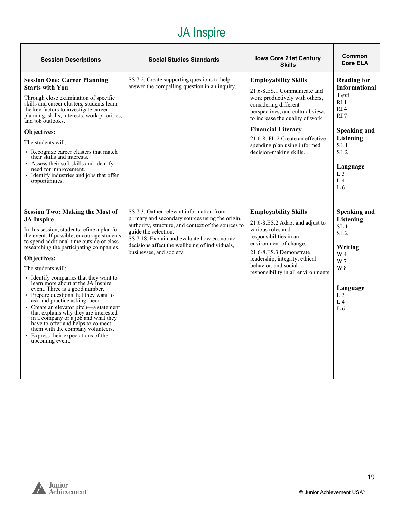### JA Inspire

<span id="page-18-0"></span>

| <b>Session Descriptions</b>                                                                                                                                                                                                                                                                                                                                                                                                                                                                                                                                                                                                                                                                                                                   | <b>Social Studies Standards</b>                                                                                                                                                                                                                                                                        | <b>Iowa Core 21st Century</b><br><b>Skills</b>                                                                                                                                                                                                                                                                            | Common<br><b>Core ELA</b>                                                                                                                                                                                                                    |
|-----------------------------------------------------------------------------------------------------------------------------------------------------------------------------------------------------------------------------------------------------------------------------------------------------------------------------------------------------------------------------------------------------------------------------------------------------------------------------------------------------------------------------------------------------------------------------------------------------------------------------------------------------------------------------------------------------------------------------------------------|--------------------------------------------------------------------------------------------------------------------------------------------------------------------------------------------------------------------------------------------------------------------------------------------------------|---------------------------------------------------------------------------------------------------------------------------------------------------------------------------------------------------------------------------------------------------------------------------------------------------------------------------|----------------------------------------------------------------------------------------------------------------------------------------------------------------------------------------------------------------------------------------------|
| <b>Session One: Career Planning</b><br><b>Starts with You</b><br>Through close examination of specific<br>skills and career clusters, students learn<br>the key factors to investigate career<br>planning, skills, interests, work priorities,<br>and job outlooks.<br>Objectives:<br>The students will:<br>• Recognize career clusters that match<br>their skills and interests.<br>Assess their soft skills and identify<br>need for improvement.<br>• Identify industries and jobs that offer<br>opportunities.                                                                                                                                                                                                                            | SS.7.2. Create supporting questions to help<br>answer the compelling question in an inquiry.                                                                                                                                                                                                           | <b>Employability Skills</b><br>21.6-8.ES.1 Communicate and<br>work productively with others,<br>considering different<br>perspectives, and cultural views<br>to increase the quality of work.<br><b>Financial Literacy</b><br>21.6-8. FL.2 Create an effective<br>spending plan using informed<br>decision-making skills. | <b>Reading for</b><br><b>Informational</b><br><b>Text</b><br>RI 1<br>RI <sub>4</sub><br>RI <sub>7</sub><br>Speaking and<br>Listening<br>SL <sub>1</sub><br>SL <sub>2</sub><br>Language<br>L <sub>3</sub><br>L <sub>4</sub><br>L <sub>6</sub> |
| <b>Session Two: Making the Most of</b><br><b>JA</b> Inspire<br>In this session, students refine a plan for<br>the event. If possible, encourage students<br>to spend additional time outside of class<br>researching the participating companies.<br>Objectives:<br>The students will:<br>Identify companies that they want to<br>learn more about at the JA Inspire<br>event. Three is a good number.<br>• Prepare questions that they want to<br>ask and practice asking them.<br>Create an elevator pitch-a statement<br>that explains why they are interested<br>in a company or a job and what they<br>have to offer and helps to connect<br>them with the company volunteers.<br>• Express their expectations of the<br>upcoming event. | SS.7.3. Gather relevant information from<br>primary and secondary sources using the origin,<br>authority, structure, and context of the sources to<br>guide the selection.<br>SS.7.18. Explain and evaluate how economic<br>decisions affect the wellbeing of individuals,<br>businesses, and society. | <b>Employability Skills</b><br>21.6-8.ES.2 Adapt and adjust to<br>various roles and<br>responsibilities in an<br>environment of change.<br>21.6-8.ES.3 Demonstrate<br>leadership, integrity, ethical<br>behavior, and social<br>responsibility in all environments.                                                       | <b>Speaking and</b><br>Listening<br>SL <sub>1</sub><br>SL <sub>2</sub><br>Writing<br>W 4<br>W 7<br>W 8<br>Language<br>L <sub>3</sub><br>$L_4$<br>L <sub>6</sub>                                                                              |

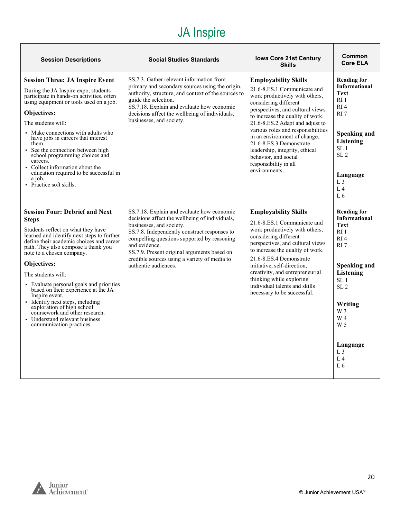### JA Inspire

| <b>Session Descriptions</b>                                                                                                                                                                                                                                                                                                                                                                                                                                                                                                                                                  | <b>Social Studies Standards</b>                                                                                                                                                                                                                                                                                                                                 | <b>Iowa Core 21st Century</b><br><b>Skills</b>                                                                                                                                                                                                                                                                                                                                                                                        | Common<br><b>Core ELA</b>                                                                                                                                                                                                                                                                          |
|------------------------------------------------------------------------------------------------------------------------------------------------------------------------------------------------------------------------------------------------------------------------------------------------------------------------------------------------------------------------------------------------------------------------------------------------------------------------------------------------------------------------------------------------------------------------------|-----------------------------------------------------------------------------------------------------------------------------------------------------------------------------------------------------------------------------------------------------------------------------------------------------------------------------------------------------------------|---------------------------------------------------------------------------------------------------------------------------------------------------------------------------------------------------------------------------------------------------------------------------------------------------------------------------------------------------------------------------------------------------------------------------------------|----------------------------------------------------------------------------------------------------------------------------------------------------------------------------------------------------------------------------------------------------------------------------------------------------|
| <b>Session Three: JA Inspire Event</b><br>During the JA Inspire expo, students<br>participate in hands-on activities, often<br>using equipment or tools used on a job.<br>Objectives:<br>The students will:<br>Make connections with adults who<br>have jobs in careers that interest<br>them.<br>See the connection between high<br>school programming choices and<br>careers.<br>• Collect information about the<br>education required to be successful in<br>a job.<br>• Practice soft skills.                                                                            | SS.7.3. Gather relevant information from<br>primary and secondary sources using the origin,<br>authority, structure, and context of the sources to<br>guide the selection.<br>SS.7.18. Explain and evaluate how economic<br>decisions affect the wellbeing of individuals,<br>businesses, and society.                                                          | <b>Employability Skills</b><br>21.6-8.ES.1 Communicate and<br>work productively with others,<br>considering different<br>perspectives, and cultural views<br>to increase the quality of work.<br>21.6-8.ES.2 Adapt and adjust to<br>various roles and responsibilities<br>in an environment of change.<br>21.6-8.ES.3 Demonstrate<br>leadership, integrity, ethical<br>behavior, and social<br>responsibility in all<br>environments. | <b>Reading for</b><br><b>Informational</b><br><b>Text</b><br>RI <sub>1</sub><br>RI <sub>4</sub><br>RI <sub>7</sub><br>Speaking and<br>Listening<br>SL <sub>1</sub><br>SL <sub>2</sub><br>Language<br>L <sub>3</sub><br>L <sub>4</sub><br>L <sub>6</sub>                                            |
| <b>Session Four: Debrief and Next</b><br><b>Steps</b><br>Students reflect on what they have<br>learned and identify next steps to further<br>define their academic choices and career<br>path. They also compose a thank you<br>note to a chosen company.<br><b>Objectives:</b><br>The students will:<br>• Evaluate personal goals and priorities<br>based on their experience at the JA<br>Inspire event.<br>· Identify next steps, including<br>exploration of high school<br>coursework and other research.<br>• Understand relevant business<br>communication practices. | SS.7.18. Explain and evaluate how economic<br>decisions affect the wellbeing of individuals,<br>businesses, and society.<br>SS.7.8. Independently construct responses to<br>compelling questions supported by reasoning<br>and evidence.<br>SS.7.9. Present original arguments based on<br>credible sources using a variety of media to<br>authentic audiences. | <b>Employability Skills</b><br>21.6-8.ES.1 Communicate and<br>work productively with others,<br>considering different<br>perspectives, and cultural views<br>to increase the quality of work.<br>21.6-8.ES.4 Demonstrate<br>initiative, self-direction.<br>creativity, and entrepreneurial<br>thinking while exploring<br>individual talents and skills<br>necessary to be successful.                                                | <b>Reading for</b><br><b>Informational</b><br><b>Text</b><br>RI <sub>1</sub><br>R <sub>I</sub> 4<br>RI <sub>7</sub><br>Speaking and<br>Listening<br>SL <sub>1</sub><br>SL <sub>2</sub><br>Writing<br>W 3<br>W <sub>4</sub><br>W <sub>5</sub><br>Language<br>L3<br>L <sub>4</sub><br>L <sub>6</sub> |

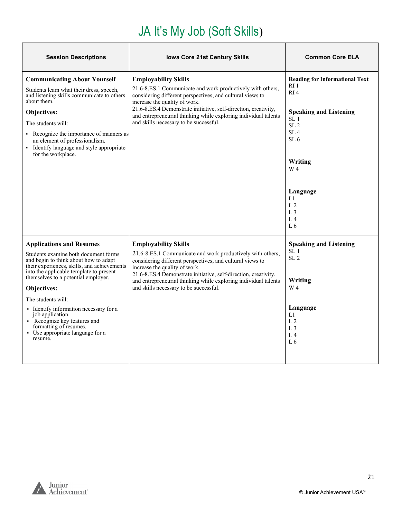# JA It's My Job (Soft Skills)

<span id="page-20-0"></span>

| <b>Session Descriptions</b>                                                                                                                   | <b>Iowa Core 21st Century Skills</b>                                                                                                                     | <b>Common Core ELA</b>                             |
|-----------------------------------------------------------------------------------------------------------------------------------------------|----------------------------------------------------------------------------------------------------------------------------------------------------------|----------------------------------------------------|
| <b>Communicating About Yourself</b>                                                                                                           | <b>Employability Skills</b>                                                                                                                              | <b>Reading for Informational Text</b>              |
| Students learn what their dress, speech,<br>and listening skills communicate to others<br>about them.                                         | 21.6-8.ES.1 Communicate and work productively with others,<br>considering different perspectives, and cultural views to<br>increase the quality of work. | RI 1<br>RI4                                        |
| Objectives:                                                                                                                                   | 21.6-8.ES.4 Demonstrate initiative, self-direction, creativity,<br>and entrepreneurial thinking while exploring individual talents                       | <b>Speaking and Listening</b>                      |
| The students will:                                                                                                                            | and skills necessary to be successful.                                                                                                                   | SL <sub>1</sub><br>SL <sub>2</sub>                 |
| • Recognize the importance of manners as<br>an element of professionalism.<br>• Identify language and style appropriate<br>for the workplace. |                                                                                                                                                          | SL <sub>4</sub><br>SL <sub>6</sub>                 |
|                                                                                                                                               |                                                                                                                                                          | Writing                                            |
|                                                                                                                                               |                                                                                                                                                          | W 4                                                |
|                                                                                                                                               |                                                                                                                                                          |                                                    |
|                                                                                                                                               |                                                                                                                                                          | Language<br>L1                                     |
|                                                                                                                                               |                                                                                                                                                          | L <sub>2</sub><br>L <sub>3</sub>                   |
|                                                                                                                                               |                                                                                                                                                          | L <sub>4</sub>                                     |
|                                                                                                                                               |                                                                                                                                                          | L <sub>6</sub>                                     |
| <b>Applications and Resumes</b>                                                                                                               | <b>Employability Skills</b>                                                                                                                              | <b>Speaking and Listening</b>                      |
| Students examine both document forms<br>and begin to think about how to adapt<br>their experiences, skills, and achievements                  | 21.6-8.ES.1 Communicate and work productively with others,<br>considering different perspectives, and cultural views to<br>increase the quality of work. | SL <sub>1</sub><br>SL <sub>2</sub>                 |
| into the applicable template to present<br>themselves to a potential employer.                                                                | 21.6-8.ES.4 Demonstrate initiative, self-direction, creativity,<br>and entrepreneurial thinking while exploring individual talents                       | Writing                                            |
| Objectives:                                                                                                                                   | and skills necessary to be successful.                                                                                                                   | W 4                                                |
| The students will:                                                                                                                            |                                                                                                                                                          |                                                    |
| • Identify information necessary for a<br>job application.<br>• Recognize key features and<br>formatting of resumes.                          |                                                                                                                                                          | Language<br>L1<br>L <sub>2</sub>                   |
| • Use appropriate language for a<br>resume.                                                                                                   |                                                                                                                                                          | L <sub>3</sub><br>L <sub>4</sub><br>L <sub>6</sub> |
|                                                                                                                                               |                                                                                                                                                          |                                                    |

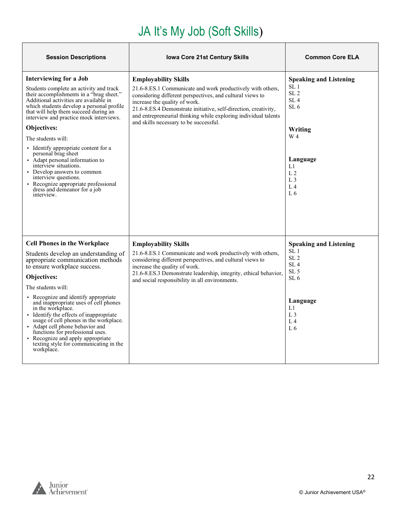# JA It's My Job (Soft Skills)

| <b>Session Descriptions</b>                                                                                                                                                                                                                                                                                                                                                                                                                                                                                                                                                                                | <b>Iowa Core 21st Century Skills</b>                                                                                                                                                                                                                                                                                                                                    | <b>Common Core ELA</b>                                                                                                                                                                         |
|------------------------------------------------------------------------------------------------------------------------------------------------------------------------------------------------------------------------------------------------------------------------------------------------------------------------------------------------------------------------------------------------------------------------------------------------------------------------------------------------------------------------------------------------------------------------------------------------------------|-------------------------------------------------------------------------------------------------------------------------------------------------------------------------------------------------------------------------------------------------------------------------------------------------------------------------------------------------------------------------|------------------------------------------------------------------------------------------------------------------------------------------------------------------------------------------------|
| <b>Interviewing for a Job</b><br>Students complete an activity and track<br>their accomplishments in a "brag sheet."<br>Additional activities are available in<br>which students develop a personal profile<br>that will help them succeed during an<br>interview and practice mock interviews.<br>Objectives:<br>The students will:<br>Identify appropriate content for a<br>personal brag sheet<br>• Adapt personal information to<br>interview situations.<br>• Develop answers to common<br>interview questions.<br>• Recognize appropriate professional<br>dress and demeanor for a job<br>interview. | <b>Employability Skills</b><br>21.6-8.ES.1 Communicate and work productively with others,<br>considering different perspectives, and cultural views to<br>increase the quality of work.<br>21.6-8.ES.4 Demonstrate initiative, self-direction, creativity,<br>and entrepreneurial thinking while exploring individual talents<br>and skills necessary to be successful. | <b>Speaking and Listening</b><br>SL 1<br>SL <sub>2</sub><br>SL <sub>4</sub><br>SL <sub>6</sub><br>Writing<br>W 4<br>Language<br>L1<br>L <sub>2</sub><br>L <sub>3</sub><br>L <sub>4</sub><br>L6 |
| <b>Cell Phones in the Workplace</b><br>Students develop an understanding of<br>appropriate communication methods<br>to ensure workplace success.<br>Objectives:<br>The students will:<br>• Recognize and identify appropriate<br>and inappropriate uses of cell phones<br>in the workplace.<br>• Identify the effects of inappropriate<br>usage of cell phones in the workplace.<br>• Adapt cell phone behavior and<br>functions for professional uses.<br>• Recognize and apply appropriate<br>texting style for communicating in the<br>workplace.                                                       | <b>Employability Skills</b><br>21.6-8.ES.1 Communicate and work productively with others,<br>considering different perspectives, and cultural views to<br>increase the quality of work.<br>21.6-8.ES.3 Demonstrate leadership, integrity, ethical behavior,<br>and social responsibility in all environments.                                                           | <b>Speaking and Listening</b><br>SL <sub>1</sub><br>SL <sub>2</sub><br>SL <sub>4</sub><br>SL <sub>5</sub><br>SL <sub>6</sub><br>Language<br>L1<br>L <sub>3</sub><br>L <sub>4</sub><br>L6       |